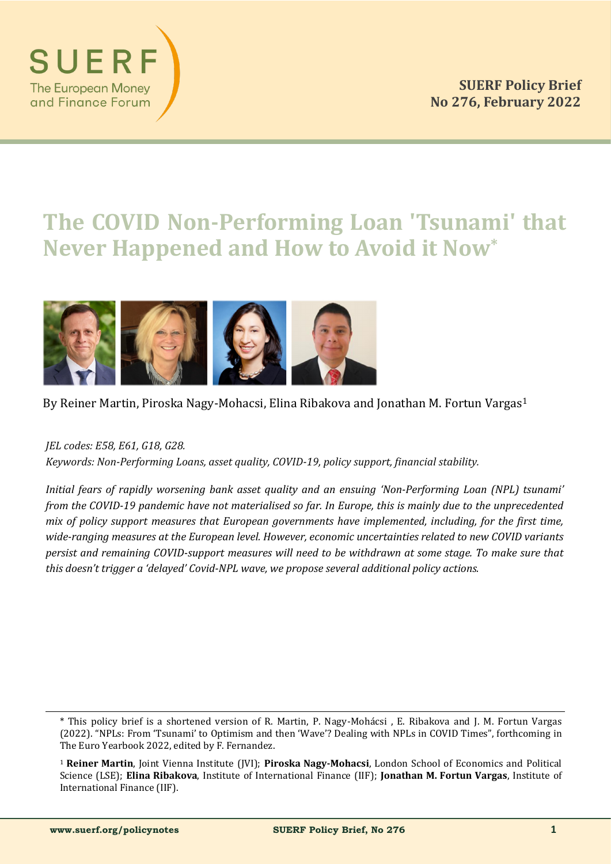

# **The COVID Non-Performing Loan 'Tsunami' that Never Happened and How to Avoid it Now\***



# By Reiner Martin, Piroska Nagy-Mohacsi, Elina Ribakova and Jonathan M. Fortun Vargas<sup>1</sup>

*JEL codes: E58, E61, G18, G28.*

*Keywords: Non-Performing Loans, asset quality, COVID-19, policy support, financial stability.*

*Initial fears of rapidly worsening bank asset quality and an ensuing 'Non-Performing Loan (NPL) tsunami' from the COVID-19 pandemic have not materialised so far. In Europe, this is mainly due to the unprecedented mix of policy support measures that European governments have implemented, including, for the first time, wide-ranging measures at the European level. However, economic uncertainties related to new COVID variants persist and remaining COVID-support measures will need to be withdrawn at some stage. To make sure that this doesn't trigger a 'delayed' Covid-NPL wave, we propose several additional policy actions.*

<sup>\*</sup> This policy brief is a shortened version of R. Martin, P. Nagy-Mohácsi, E. Ribakova and J. M. Fortun Vargas (2022). "NPLs: From 'Tsunami' to Optimism and then 'Wave'? Dealing with NPLs in COVID Times", forthcoming in The Euro Yearbook 2022, edited by F. Fernandez.

<sup>1</sup> **Reiner Martin**, Joint Vienna Institute (JVI); **Piroska Nagy-Mohacsi**, London School of Economics and Political Science (LSE); **Elina Ribakova**, Institute of International Finance (IIF); **Jonathan M. Fortun Vargas**, Institute of International Finance (IIF).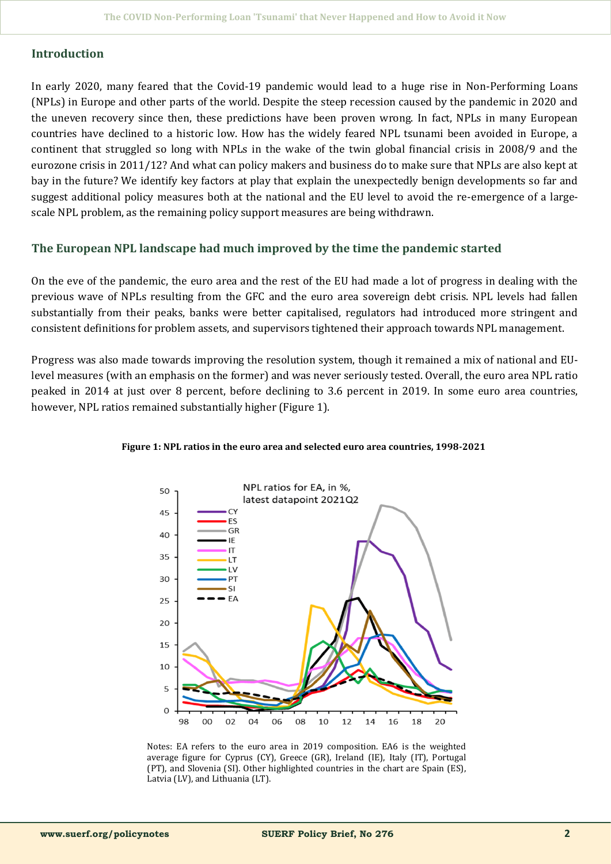#### **Introduction**

In early 2020, many feared that the Covid-19 pandemic would lead to a huge rise in Non-Performing Loans (NPLs) in Europe and other parts of the world. Despite the steep recession caused by the pandemic in 2020 and the uneven recovery since then, these predictions have been proven wrong. In fact, NPLs in many European countries have declined to a historic low. How has the widely feared NPL tsunami been avoided in Europe, a continent that struggled so long with NPLs in the wake of the twin global financial crisis in 2008/9 and the eurozone crisis in 2011/12? And what can policy makers and business do to make sure that NPLs are also kept at bay in the future? We identify key factors at play that explain the unexpectedly benign developments so far and suggest additional policy measures both at the national and the EU level to avoid the re-emergence of a largescale NPL problem, as the remaining policy support measures are being withdrawn.

#### **The European NPL landscape had much improved by the time the pandemic started**

On the eve of the pandemic, the euro area and the rest of the EU had made a lot of progress in dealing with the previous wave of NPLs resulting from the GFC and the euro area sovereign debt crisis. NPL levels had fallen substantially from their peaks, banks were better capitalised, regulators had introduced more stringent and consistent definitions for problem assets, and supervisors tightened their approach towards NPL management.

Progress was also made towards improving the resolution system, though it remained a mix of national and EUlevel measures (with an emphasis on the former) and was never seriously tested. Overall, the euro area NPL ratio peaked in 2014 at just over 8 percent, before declining to 3.6 percent in 2019. In some euro area countries, however, NPL ratios remained substantially higher (Figure 1).



**Figure 1: NPL ratios in the euro area and selected euro area countries, 1998-2021**

Notes: EA refers to the euro area in 2019 composition. EA6 is the weighted average figure for Cyprus (CY), Greece (GR), Ireland (IE), Italy (IT), Portugal (PT), and Slovenia (SI). Other highlighted countries in the chart are Spain (ES), Latvia (LV), and Lithuania (LT).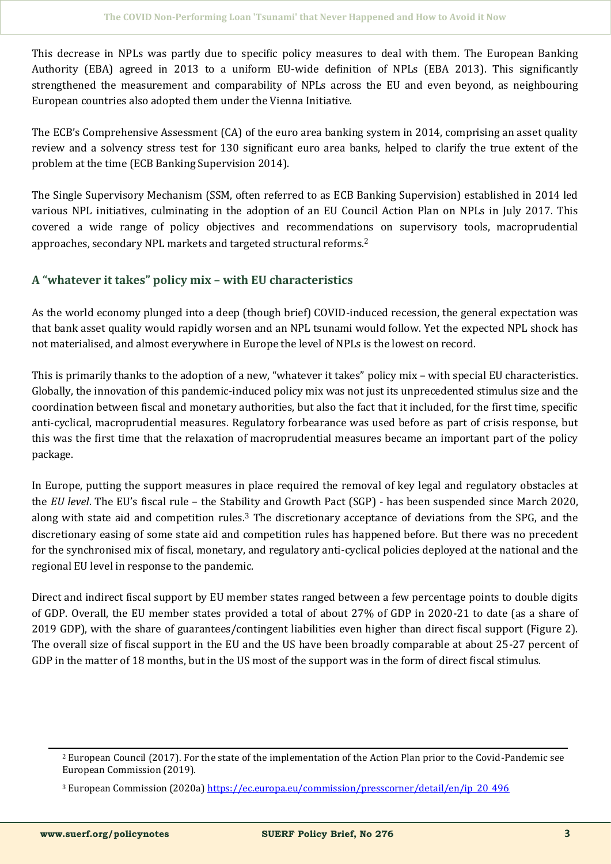This decrease in NPLs was partly due to specific policy measures to deal with them. The European Banking Authority (EBA) agreed in 2013 to a uniform EU-wide definition of NPLs (EBA 2013). This significantly strengthened the measurement and comparability of NPLs across the EU and even beyond, as neighbouring European countries also adopted them under the Vienna Initiative.

The ECB's Comprehensive Assessment (CA) of the euro area banking system in 2014, comprising an asset quality review and a solvency stress test for 130 significant euro area banks, helped to clarify the true extent of the problem at the time (ECB Banking Supervision 2014).

The Single Supervisory Mechanism (SSM, often referred to as ECB Banking Supervision) established in 2014 led various NPL initiatives, culminating in the adoption of an EU Council Action Plan on NPLs in July 2017. This covered a wide range of policy objectives and recommendations on supervisory tools, macroprudential approaches, secondary NPL markets and targeted structural reforms.<sup>2</sup>

## **A "whatever it takes" policy mix – with EU characteristics**

As the world economy plunged into a deep (though brief) COVID-induced recession, the general expectation was that bank asset quality would rapidly worsen and an NPL tsunami would follow. Yet the expected NPL shock has not materialised, and almost everywhere in Europe the level of NPLs is the lowest on record.

This is primarily thanks to the adoption of a new, "whatever it takes" policy mix – with special EU characteristics. Globally, the innovation of this pandemic-induced policy mix was not just its unprecedented stimulus size and the coordination between fiscal and monetary authorities, but also the fact that it included, for the first time, specific anti-cyclical, macroprudential measures. Regulatory forbearance was used before as part of crisis response, but this was the first time that the relaxation of macroprudential measures became an important part of the policy package.

In Europe, putting the support measures in place required the removal of key legal and regulatory obstacles at the *EU level*. The EU's fiscal rule – the Stability and Growth Pact (SGP) - has been suspended since March 2020, along with state aid and competition rules.<sup>3</sup> The discretionary acceptance of deviations from the SPG, and the discretionary easing of some state aid and competition rules has happened before. But there was no precedent for the synchronised mix of fiscal, monetary, and regulatory anti-cyclical policies deployed at the national and the regional EU level in response to the pandemic.

Direct and indirect fiscal support by EU member states ranged between a few percentage points to double digits of GDP. Overall, the EU member states provided a total of about 27% of GDP in 2020-21 to date (as a share of 2019 GDP), with the share of guarantees/contingent liabilities even higher than direct fiscal support (Figure 2). The overall size of fiscal support in the EU and the US have been broadly comparable at about 25-27 percent of GDP in the matter of 18 months, but in the US most of the support was in the form of direct fiscal stimulus.

<sup>2</sup> European Council (2017). For the state of the implementation of the Action Plan prior to the Covid-Pandemic see European Commission (2019).

<sup>&</sup>lt;sup>3</sup> European Commission (2020a) [https://ec.europa.eu/commission/presscorner/detail/en/ip\\_20\\_496](https://ec.europa.eu/commission/presscorner/detail/en/ip_20_496)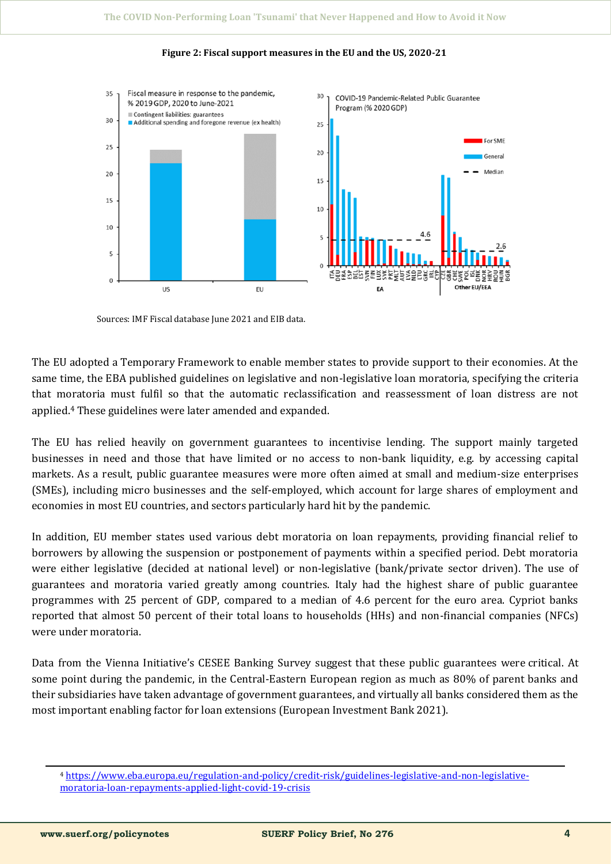

#### **Figure 2: Fiscal support measures in the EU and the US, 2020-21**

Sources: IMF Fiscal database June 2021 and EIB data.

The EU adopted a Temporary Framework to enable member states to provide support to their economies. At the same time, the EBA published guidelines on legislative and non-legislative loan moratoria, specifying the criteria that moratoria must fulfil so that the automatic reclassification and reassessment of loan distress are not applied.<sup>4</sup> These guidelines were later amended and expanded.

The EU has relied heavily on government guarantees to incentivise lending. The support mainly targeted businesses in need and those that have limited or no access to non-bank liquidity, e.g. by accessing capital markets. As a result, public guarantee measures were more often aimed at small and medium-size enterprises (SMEs), including micro businesses and the self-employed, which account for large shares of employment and economies in most EU countries, and sectors particularly hard hit by the pandemic.

In addition, EU member states used various debt moratoria on loan repayments, providing financial relief to borrowers by allowing the suspension or postponement of payments within a specified period. Debt moratoria were either legislative (decided at national level) or non-legislative (bank/private sector driven). The use of guarantees and moratoria varied greatly among countries. Italy had the highest share of public guarantee programmes with 25 percent of GDP, compared to a median of 4.6 percent for the euro area. Cypriot banks reported that almost 50 percent of their total loans to households (HHs) and non-financial companies (NFCs) were under moratoria.

Data from the Vienna Initiative's CESEE Banking Survey suggest that these public guarantees were critical. At some point during the pandemic, in the Central-Eastern European region as much as 80% of parent banks and their subsidiaries have taken advantage of government guarantees, and virtually all banks considered them as the most important enabling factor for loan extensions (European Investment Bank 2021).

<sup>4</sup> [https://www.eba.europa.eu/regulation](https://www.eba.europa.eu/regulation-and-policy/credit-risk/guidelines-legislative-and-non-legislative-moratoria-loan-repayments-applied-light-covid-19-crisis)-and-policy/credit-risk/guidelines-legislative-and-non-legislativemoratoria-loan-[repayments](https://www.eba.europa.eu/regulation-and-policy/credit-risk/guidelines-legislative-and-non-legislative-moratoria-loan-repayments-applied-light-covid-19-crisis)-applied-light-covid-19-crisis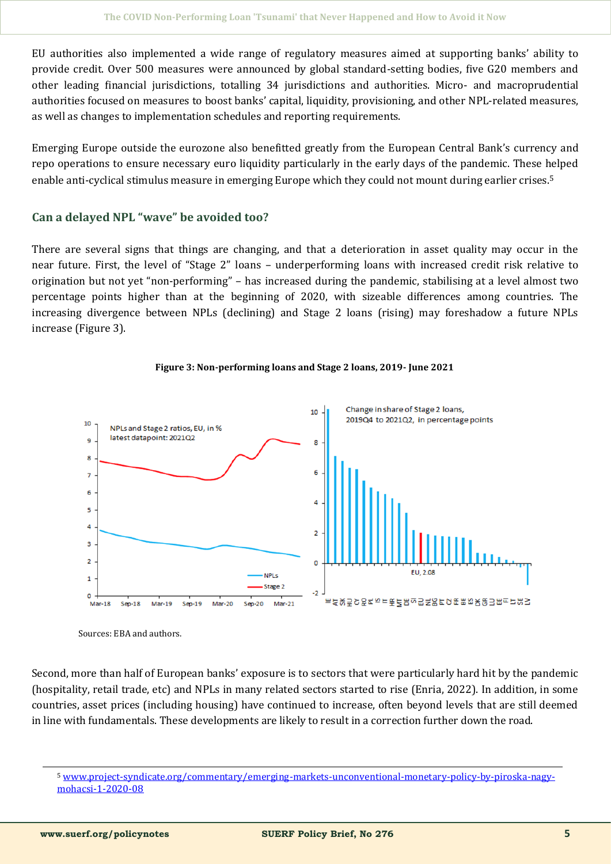EU authorities also implemented a wide range of regulatory measures aimed at supporting banks' ability to provide credit. Over 500 measures were announced by global standard-setting bodies, five G20 members and other leading financial jurisdictions, totalling 34 jurisdictions and authorities. Micro- and macroprudential authorities focused on measures to boost banks' capital, liquidity, provisioning, and other NPL-related measures, as well as changes to implementation schedules and reporting requirements.

Emerging Europe outside the eurozone also benefitted greatly from the European Central Bank's currency and repo operations to ensure necessary euro liquidity particularly in the early days of the pandemic. These helped enable anti-cyclical stimulus measure in emerging Europe which they could not mount during earlier crises.<sup>5</sup>

### **Can a delayed NPL "wave" be avoided too?**

There are several signs that things are changing, and that a deterioration in asset quality may occur in the near future. First, the level of "Stage 2" loans – underperforming loans with increased credit risk relative to origination but not yet "non-performing" – has increased during the pandemic, stabilising at a level almost two percentage points higher than at the beginning of 2020, with sizeable differences among countries. The increasing divergence between NPLs (declining) and Stage 2 loans (rising) may foreshadow a future NPLs increase (Figure 3).



#### **Figure 3: Non-performing loans and Stage 2 loans, 2019- June 2021**

Sources: EBA and authors.

Second, more than half of European banks' exposure is to sectors that were particularly hard hit by the pandemic (hospitality, retail trade, etc) and NPLs in many related sectors started to rise (Enria, 2022). In addition, in some countries, asset prices (including housing) have continued to increase, often beyond levels that are still deemed in line with fundamentals. These developments are likely to result in a correction further down the road.

<sup>5</sup> www.project-[syndicate.org/commentary/emerging](http://www.project-syndicate.org/commentary/emerging-markets-unconventional-monetary-policy-by-piroska-nagy-mohacsi-1-2020-08)-markets-unconventional-monetary-policy-by-piroska-nagy[mohacsi](http://www.project-syndicate.org/commentary/emerging-markets-unconventional-monetary-policy-by-piroska-nagy-mohacsi-1-2020-08)-1-2020-08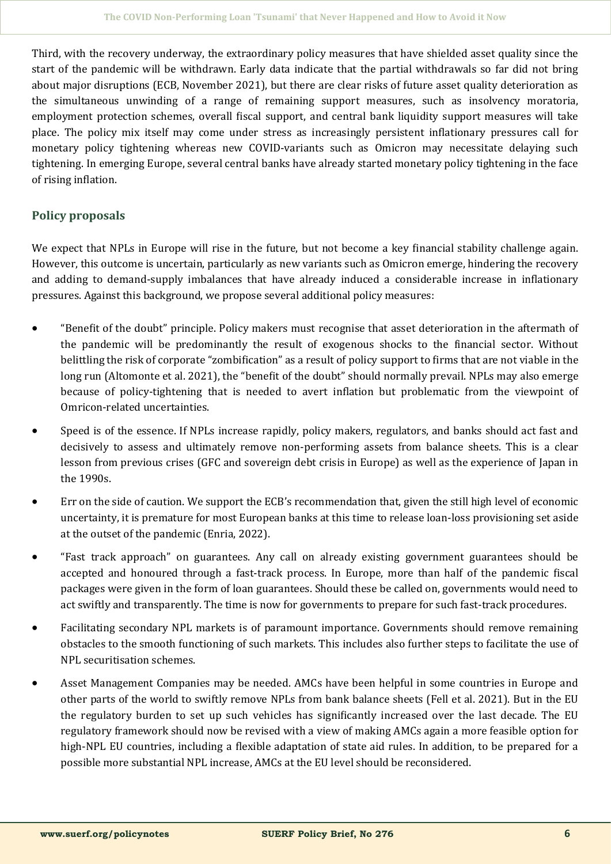Third, with the recovery underway, the extraordinary policy measures that have shielded asset quality since the start of the pandemic will be withdrawn. Early data indicate that the partial withdrawals so far did not bring about major disruptions (ECB, November 2021), but there are clear risks of future asset quality deterioration as the simultaneous unwinding of a range of remaining support measures, such as insolvency moratoria, employment protection schemes, overall fiscal support, and central bank liquidity support measures will take place. The policy mix itself may come under stress as increasingly persistent inflationary pressures call for monetary policy tightening whereas new COVID-variants such as Omicron may necessitate delaying such tightening. In emerging Europe, several central banks have already started monetary policy tightening in the face of rising inflation.

# **Policy proposals**

We expect that NPLs in Europe will rise in the future, but not become a key financial stability challenge again. However, this outcome is uncertain, particularly as new variants such as Omicron emerge, hindering the recovery and adding to demand-supply imbalances that have already induced a considerable increase in inflationary pressures. Against this background, we propose several additional policy measures:

- "Benefit of the doubt" principle. Policy makers must recognise that asset deterioration in the aftermath of the pandemic will be predominantly the result of exogenous shocks to the financial sector. Without belittling the risk of corporate "zombification" as a result of policy support to firms that are not viable in the long run (Altomonte et al. 2021), the "benefit of the doubt" should normally prevail. NPLs may also emerge because of policy-tightening that is needed to avert inflation but problematic from the viewpoint of Omricon-related uncertainties.
- Speed is of the essence. If NPLs increase rapidly, policy makers, regulators, and banks should act fast and decisively to assess and ultimately remove non-performing assets from balance sheets. This is a clear lesson from previous crises (GFC and sovereign debt crisis in Europe) as well as the experience of Japan in the 1990s.
- Err on the side of caution. We support the ECB's recommendation that, given the still high level of economic uncertainty, it is premature for most European banks at this time to release loan-loss provisioning set aside at the outset of the pandemic (Enria, 2022).
- "Fast track approach" on guarantees. Any call on already existing government guarantees should be accepted and honoured through a fast-track process. In Europe, more than half of the pandemic fiscal packages were given in the form of loan guarantees. Should these be called on, governments would need to act swiftly and transparently. The time is now for governments to prepare for such fast-track procedures.
- Facilitating secondary NPL markets is of paramount importance. Governments should remove remaining obstacles to the smooth functioning of such markets. This includes also further steps to facilitate the use of NPL securitisation schemes.
- Asset Management Companies may be needed. AMCs have been helpful in some countries in Europe and other parts of the world to swiftly remove NPLs from bank balance sheets (Fell et al. 2021). But in the EU the regulatory burden to set up such vehicles has significantly increased over the last decade. The EU regulatory framework should now be revised with a view of making AMCs again a more feasible option for high-NPL EU countries, including a flexible adaptation of state aid rules. In addition, to be prepared for a possible more substantial NPL increase, AMCs at the EU level should be reconsidered.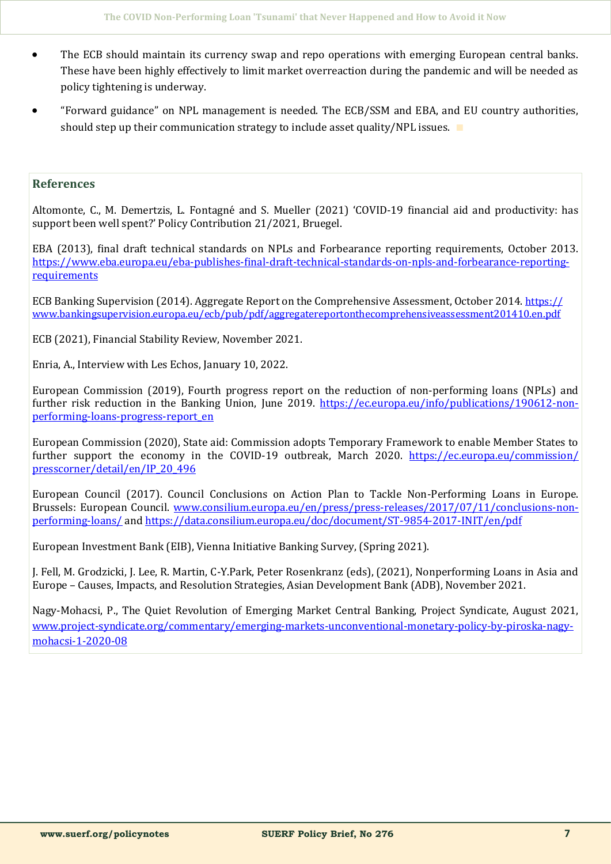- The ECB should maintain its currency swap and repo operations with emerging European central banks. These have been highly effectively to limit market overreaction during the pandemic and will be needed as policy tightening is underway.
- "Forward guidance" on NPL management is needed. The ECB/SSM and EBA, and EU country authorities, should step up their communication strategy to include asset quality/NPL issues. ∎

#### **References**

Altomonte, C., M. Demertzis, L. Fontagne and S. Mueller (2021) 'COVID-19 financial aid and productivity: has support been well spent?' Policy Contribution 21/2021, Bruegel.

EBA (2013), final draft technical standards on NPLs and Forbearance reporting requirements, October 2013. [https://www.eba.europa.eu/eba](https://www.eba.europa.eu/eba-publishes-final-draft-technical-standards-on-npls-and-forbearance-reporting-requirements)-publishes-final-draft-technical-standards-on-npls-and-forbearance-reporting[requirements](https://www.eba.europa.eu/eba-publishes-final-draft-technical-standards-on-npls-and-forbearance-reporting-requirements)

ECB Banking Supervision (2014). Aggregate Report on the Comprehensive Assessment, October 2014. [https://](https://www.bankingsupervision.europa.eu/ecb/pub/pdf/aggregatereportonthecomprehensiveassessment201410.en.pdf) [www.bankingsupervision.europa.eu/ecb/pub/pdf/aggregatereportonthecomprehensiveassessment201410.en.pdf](https://www.bankingsupervision.europa.eu/ecb/pub/pdf/aggregatereportonthecomprehensiveassessment201410.en.pdf)

ECB (2021), Financial Stability Review, November 2021.

Enria, A., Interview with Les Echos, January 10, 2022.

European Commission (2019), Fourth progress report on the reduction of non-performing loans (NPLs) and further risk reduction in the Banking Union, June 2019. [https://ec.europa.eu/info/publications/190612](https://ec.europa.eu/info/publications/190612-non-performing-loans-progress-report_en)-non[performing](https://ec.europa.eu/info/publications/190612-non-performing-loans-progress-report_en)-loans-progress-report\_en

European Commission (2020), State aid: Commission adopts Temporary Framework to enable Member States to further support the economy in the COVID-19 outbreak, March 2020. [https://ec.europa.eu/commission/](https://ec.europa.eu/commission/presscorner/detail/en/IP_20_496) [presscorner/detail/en/IP\\_20\\_496](https://ec.europa.eu/commission/presscorner/detail/en/IP_20_496)

European Council (2017). Council Conclusions on Action Plan to Tackle Non-Performing Loans in Europe. Brussels: European Council. [www.consilium.europa.eu/en/press/press](http://www.consilium.europa.eu/en/press/press-releases/2017/07/11/conclusions-non-performing-loans/)-releases/2017/07/11/conclusions-non[performing](http://www.consilium.europa.eu/en/press/press-releases/2017/07/11/conclusions-non-performing-loans/)-loans/ and [https://data.consilium.europa.eu/doc/document/ST](https://data.consilium.europa.eu/doc/document/ST-9854-2017-INIT/en/pdf)-9854-2017-INIT/en/pdf

European Investment Bank (EIB), Vienna Initiative Banking Survey, (Spring 2021).

J. Fell, M. Grodzicki, J. Lee, R. Martin, C-Y.Park, Peter Rosenkranz (eds), (2021), Nonperforming Loans in Asia and Europe – Causes, Impacts, and Resolution Strategies, Asian Development Bank (ADB), November 2021.

Nagy-Mohacsi, P., The Quiet Revolution of Emerging Market Central Banking, Project Syndicate, August 2021, www.project-syndicate.org/commentary/emerging-markets-unconventional-monetary-policy-by-piroska-nagymohacsi-1-2020-08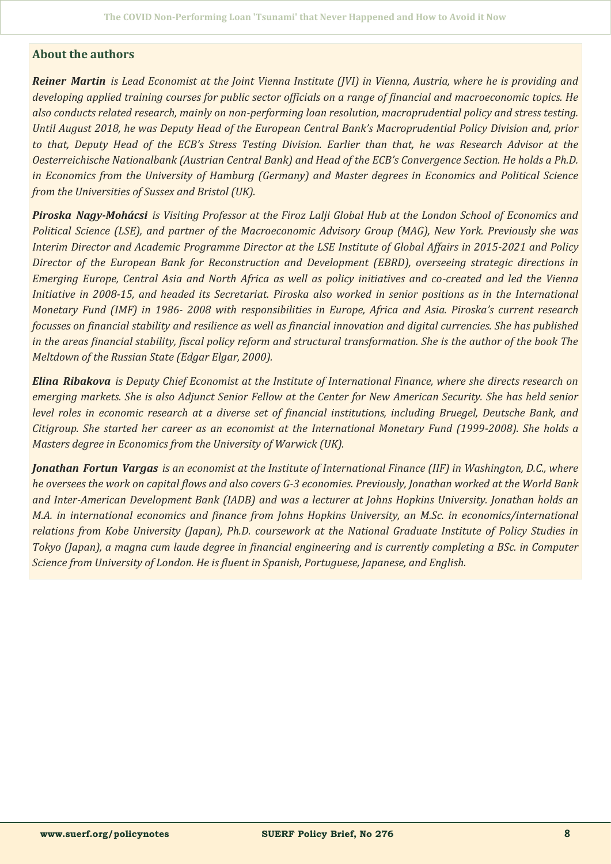#### **About the authors**

*Reiner Martin is Lead Economist at the Joint Vienna Institute (JVI) in Vienna, Austria, where he is providing and developing applied training courses for public sector officials on a range of financial and macroeconomic topics. He also conducts related research, mainly on non-performing loan resolution, macroprudential policy and stress testing. Until August 2018, he was Deputy Head of the European Central Bank's Macroprudential Policy Division and, prior to that, Deputy Head of the ECB's Stress Testing Division. Earlier than that, he was Research Advisor at the Oesterreichische Nationalbank (Austrian Central Bank) and Head of the ECB's Convergence Section. He holds a Ph.D. in Economics from the University of Hamburg (Germany) and Master degrees in Economics and Political Science from the Universities of Sussex and Bristol (UK).*

*Piroska Nagy-Mohácsi is Visiting Professor at the Firoz Lalji Global Hub at the London School of Economics and Political Science (LSE), and partner of the Macroeconomic Advisory Group (MAG), New York. Previously she was Interim Director and Academic Programme Director at the LSE Institute of Global Affairs in 2015-2021 and Policy Director of the European Bank for Reconstruction and Development (EBRD), overseeing strategic directions in Emerging Europe, Central Asia and North Africa as well as policy initiatives and co-created and led the Vienna Initiative in 2008-15, and headed its Secretariat. Piroska also worked in senior positions as in the International Monetary Fund (IMF) in 1986- 2008 with responsibilities in Europe, Africa and Asia. Piroska's current research focusses on financial stability and resilience as well as financial innovation and digital currencies. She has published in the areas financial stability, fiscal policy reform and structural transformation. She is the author of the book The Meltdown of the Russian State (Edgar Elgar, 2000).* 

*Elina Ribakova is Deputy Chief Economist at the Institute of International Finance, where she directs research on emerging markets. She is also Adjunct Senior Fellow at the Center for New American Security. She has held senior level roles in economic research at a diverse set of financial institutions, including Bruegel, Deutsche Bank, and Citigroup. She started her career as an economist at the International Monetary Fund (1999-2008). She holds a Masters degree in Economics from the University of Warwick (UK).* 

*Jonathan Fortun Vargas is an economist at the Institute of International Finance (IIF) in Washington, D.C., where he oversees the work on capital flows and also covers G-3 economies. Previously, Jonathan worked at the World Bank and Inter-American Development Bank (IADB) and was a lecturer at Johns Hopkins University. Jonathan holds an M.A. in international economics and finance from Johns Hopkins University, an M.Sc. in economics/international relations from Kobe University (Japan), Ph.D. coursework at the National Graduate Institute of Policy Studies in Tokyo (Japan), a magna cum laude degree in financial engineering and is currently completing a BSc. in Computer Science from University of London. He is fluent in Spanish, Portuguese, Japanese, and English.*